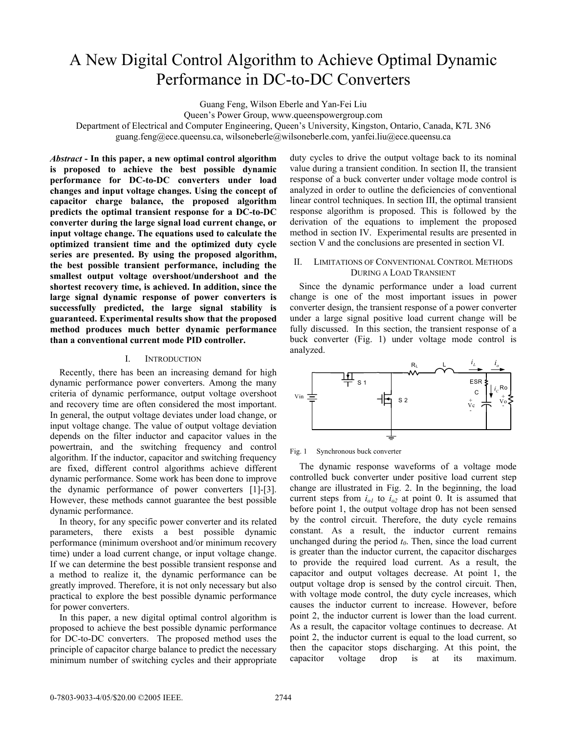# A New Digital Control Algorithm to Achieve Optimal Dynamic Performance in DC-to-DC Converters

Guang Feng, Wilson Eberle and Yan-Fei Liu

Queen's Power Group, www.queenspowergroup.com

Department of Electrical and Computer Engineering, Queen's University, Kingston, Ontario, Canada, K7L 3N6 guang.feng@ece.queensu.ca, wilsoneberle@wilsoneberle.com, yanfei.liu@ece.queensu.ca

*Abstract* **- In this paper, a new optimal control algorithm is proposed to achieve the best possible dynamic performance for DC-to-DC converters under load changes and input voltage changes. Using the concept of capacitor charge balance, the proposed algorithm predicts the optimal transient response for a DC-to-DC converter during the large signal load current change, or input voltage change. The equations used to calculate the optimized transient time and the optimized duty cycle series are presented. By using the proposed algorithm, the best possible transient performance, including the smallest output voltage overshoot/undershoot and the shortest recovery time, is achieved. In addition, since the large signal dynamic response of power converters is successfully predicted, the large signal stability is guaranteed. Experimental results show that the proposed method produces much better dynamic performance than a conventional current mode PID controller.** 

#### I. INTRODUCTION

Recently, there has been an increasing demand for high dynamic performance power converters. Among the many criteria of dynamic performance, output voltage overshoot and recovery time are often considered the most important. In general, the output voltage deviates under load change, or input voltage change. The value of output voltage deviation depends on the filter inductor and capacitor values in the powertrain, and the switching frequency and control algorithm. If the inductor, capacitor and switching frequency are fixed, different control algorithms achieve different dynamic performance. Some work has been done to improve the dynamic performance of power converters [1]-[3]. However, these methods cannot guarantee the best possible dynamic performance.

In theory, for any specific power converter and its related parameters, there exists a best possible dynamic performance (minimum overshoot and/or minimum recovery time) under a load current change, or input voltage change. If we can determine the best possible transient response and a method to realize it, the dynamic performance can be greatly improved. Therefore, it is not only necessary but also practical to explore the best possible dynamic performance for power converters.

In this paper, a new digital optimal control algorithm is proposed to achieve the best possible dynamic performance for DC-to-DC converters. The proposed method uses the principle of capacitor charge balance to predict the necessary minimum number of switching cycles and their appropriate duty cycles to drive the output voltage back to its nominal value during a transient condition. In section II, the transient response of a buck converter under voltage mode control is analyzed in order to outline the deficiencies of conventional linear control techniques. In section III, the optimal transient response algorithm is proposed. This is followed by the derivation of the equations to implement the proposed method in section IV. Experimental results are presented in section V and the conclusions are presented in section VI.

# II. LIMITATIONS OF CONVENTIONAL CONTROL METHODS DURING A LOAD TRANSIENT

Since the dynamic performance under a load current change is one of the most important issues in power converter design, the transient response of a power converter under a large signal positive load current change will be fully discussed. In this section, the transient response of a buck converter (Fig. 1) under voltage mode control is analyzed.



Fig. 1 Synchronous buck converter

The dynamic response waveforms of a voltage mode controlled buck converter under positive load current step change are illustrated in Fig. 2. In the beginning, the load current steps from  $i_{ol}$  to  $i_{ol}$  at point 0. It is assumed that before point 1, the output voltage drop has not been sensed by the control circuit. Therefore, the duty cycle remains constant. As a result, the inductor current remains unchanged during the period  $t_0$ . Then, since the load current is greater than the inductor current, the capacitor discharges to provide the required load current. As a result, the capacitor and output voltages decrease. At point 1, the output voltage drop is sensed by the control circuit. Then, with voltage mode control, the duty cycle increases, which causes the inductor current to increase. However, before point 2, the inductor current is lower than the load current. As a result, the capacitor voltage continues to decrease. At point 2, the inductor current is equal to the load current, so then the capacitor stops discharging. At this point, the capacitor voltage drop is at its maximum.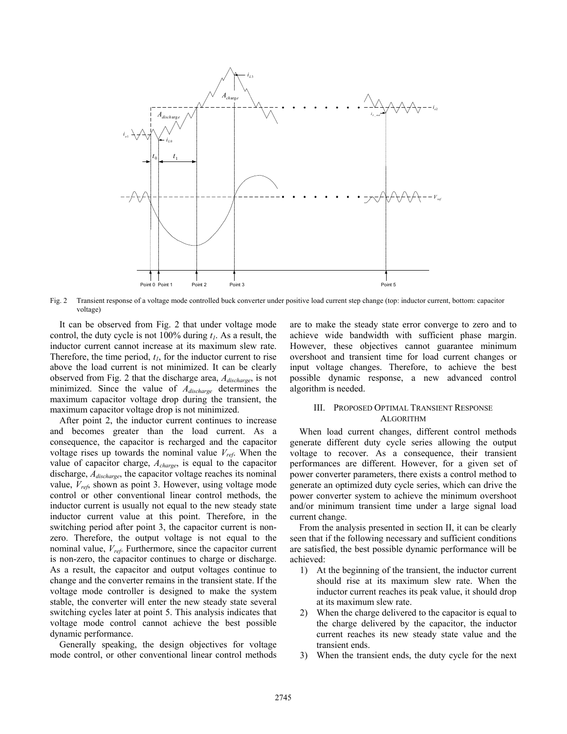

Fig. 2 Transient response of a voltage mode controlled buck converter under positive load current step change (top: inductor current, bottom: capacitor voltage)

It can be observed from Fig. 2 that under voltage mode control, the duty cycle is not  $100\%$  during  $t_1$ . As a result, the inductor current cannot increase at its maximum slew rate. Therefore, the time period,  $t_1$ , for the inductor current to rise above the load current is not minimized. It can be clearly observed from Fig. 2 that the discharge area, *Adischarge*, is not minimized. Since the value of *Adischarge* determines the maximum capacitor voltage drop during the transient, the maximum capacitor voltage drop is not minimized.

After point 2, the inductor current continues to increase and becomes greater than the load current. As a consequence, the capacitor is recharged and the capacitor voltage rises up towards the nominal value  $V_{ref}$ . When the value of capacitor charge, *Acharge*, is equal to the capacitor discharge, *Adischarge*, the capacitor voltage reaches its nominal value, *Vref*, shown as point 3. However, using voltage mode control or other conventional linear control methods, the inductor current is usually not equal to the new steady state inductor current value at this point. Therefore, in the switching period after point 3, the capacitor current is nonzero. Therefore, the output voltage is not equal to the nominal value, *Vref*. Furthermore, since the capacitor current is non-zero, the capacitor continues to charge or discharge. As a result, the capacitor and output voltages continue to change and the converter remains in the transient state. If the voltage mode controller is designed to make the system stable, the converter will enter the new steady state several switching cycles later at point 5. This analysis indicates that voltage mode control cannot achieve the best possible dynamic performance.

Generally speaking, the design objectives for voltage mode control, or other conventional linear control methods

are to make the steady state error converge to zero and to achieve wide bandwidth with sufficient phase margin. However, these objectives cannot guarantee minimum overshoot and transient time for load current changes or input voltage changes. Therefore, to achieve the best possible dynamic response, a new advanced control algorithm is needed.

# III. PROPOSED OPTIMAL TRANSIENT RESPONSE ALGORITHM

When load current changes, different control methods generate different duty cycle series allowing the output voltage to recover. As a consequence, their transient performances are different. However, for a given set of power converter parameters, there exists a control method to generate an optimized duty cycle series, which can drive the power converter system to achieve the minimum overshoot and/or minimum transient time under a large signal load current change.

From the analysis presented in section II, it can be clearly seen that if the following necessary and sufficient conditions are satisfied, the best possible dynamic performance will be achieved:

- 1) At the beginning of the transient, the inductor current should rise at its maximum slew rate. When the inductor current reaches its peak value, it should drop at its maximum slew rate.
- 2) When the charge delivered to the capacitor is equal to the charge delivered by the capacitor, the inductor current reaches its new steady state value and the transient ends.
- 3) When the transient ends, the duty cycle for the next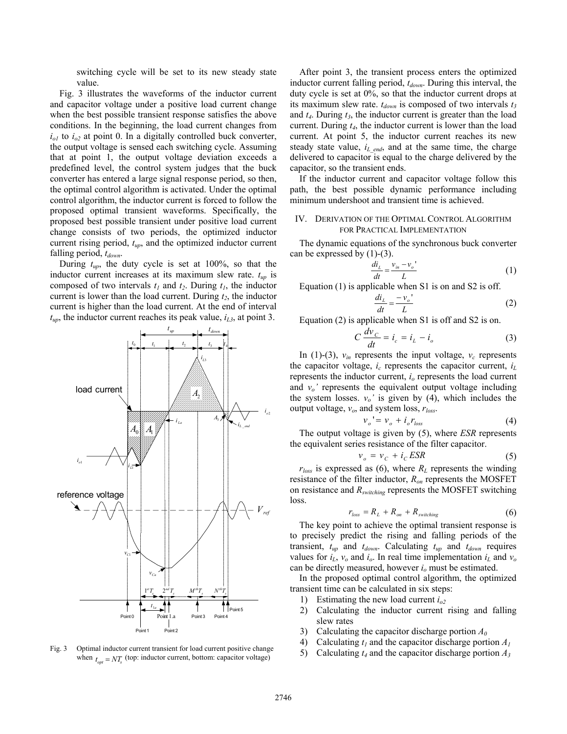switching cycle will be set to its new steady state value.

Fig. 3 illustrates the waveforms of the inductor current and capacitor voltage under a positive load current change when the best possible transient response satisfies the above conditions. In the beginning, the load current changes from  $i_{ol}$  to  $i_{o2}$  at point 0. In a digitally controlled buck converter, the output voltage is sensed each switching cycle. Assuming that at point 1, the output voltage deviation exceeds a predefined level, the control system judges that the buck converter has entered a large signal response period, so then, the optimal control algorithm is activated. Under the optimal control algorithm, the inductor current is forced to follow the proposed optimal transient waveforms. Specifically, the proposed best possible transient under positive load current change consists of two periods, the optimized inductor current rising period, *tup*, and the optimized inductor current falling period,  $t_{down}$ .

During  $t_{up}$ , the duty cycle is set at 100%, so that the inductor current increases at its maximum slew rate. *tup* is composed of two intervals  $t_1$  and  $t_2$ . During  $t_1$ , the inductor current is lower than the load current. During  $t_2$ , the inductor current is higher than the load current. At the end of interval  $t_{\text{up}}$ , the inductor current reaches its peak value,  $i_{L3}$ , at point 3.



Fig. 3 Optimal inductor current transient for load current positive change when  $t_{opt} = NT_s$  (top: inductor current, bottom: capacitor voltage)

After point 3, the transient process enters the optimized inductor current falling period,  $t_{down}$ . During this interval, the duty cycle is set at 0%, so that the inductor current drops at its maximum slew rate.  $t_{down}$  is composed of two intervals  $t_3$ and  $t_4$ . During  $t_3$ , the inductor current is greater than the load current. During *t4*, the inductor current is lower than the load current. At point 5, the inductor current reaches its new steady state value,  $i_L$ <sub>end</sub>, and at the same time, the charge delivered to capacitor is equal to the charge delivered by the capacitor, so the transient ends.

If the inductor current and capacitor voltage follow this path, the best possible dynamic performance including minimum undershoot and transient time is achieved.

# IV. DERIVATION OF THE OPTIMAL CONTROL ALGORITHM FOR PRACTICAL IMPLEMENTATION

The dynamic equations of the synchronous buck converter can be expressed by  $(1)-(3)$ .

$$
\frac{di_L}{dt} = \frac{v_{in} - v_o}{L} \tag{1}
$$

Equation (1) is applicable when S1 is on and S2 is off.

$$
\frac{di_L}{dt} = \frac{-v_o'}{L} \tag{2}
$$

Equation (2) is applicable when S1 is off and S2 is on.

$$
C\frac{dv_c}{dt} = i_c = i_L - i_o \tag{3}
$$

In (1)-(3),  $v_{in}$  represents the input voltage,  $v_c$  represents the capacitor voltage, *ic* represents the capacitor current, *iL* represents the inductor current, *io* represents the load current and  $v<sub>o</sub>$ ' represents the equivalent output voltage including the system losses.  $v_o'$  is given by (4), which includes the output voltage,  $v_o$ , and system loss,  $r_{loss}$ .

$$
v_o' = v_o + i_o r_{loss} \tag{4}
$$

The output voltage is given by (5), where *ESR* represents the equivalent series resistance of the filter capacitor.

$$
v_o = v_c + i_c ESR \tag{5}
$$

 $r_{loss}$  is expressed as (6), where  $R_L$  represents the winding resistance of the filter inductor, *Ron* represents the MOSFET on resistance and *Rswitching* represents the MOSFET switching loss.

$$
r_{loss} = R_L + R_{on} + R_{switching} \tag{6}
$$

The key point to achieve the optimal transient response is to precisely predict the rising and falling periods of the transient,  $t_{up}$  and  $t_{down}$ . Calculating  $t_{up}$  and  $t_{down}$  requires values for  $i_L$ ,  $v_o$  and  $i_o$ . In real time implementation  $i_L$  and  $v_o$ can be directly measured, however *io* must be estimated.

In the proposed optimal control algorithm, the optimized transient time can be calculated in six steps:

- 1) Estimating the new load current  $i_{02}$
- 2) Calculating the inductor current rising and falling slew rates
- 3) Calculating the capacitor discharge portion *A0*
- 4) Calculating  $t_1$  and the capacitor discharge portion  $A_1$
- 5) Calculating  $t_4$  and the capacitor discharge portion  $A_3$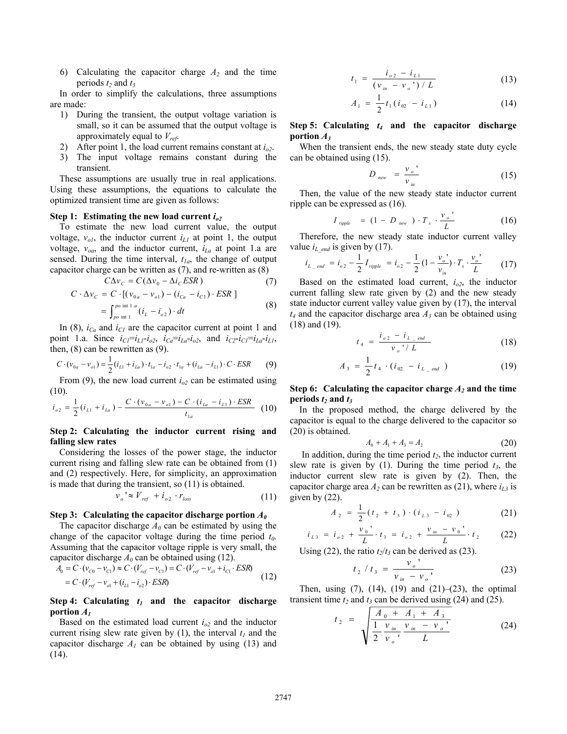6) Calculating the capacitor charge  $A_2$  and the time periods  $t_2$  and  $t_3$ 

In order to simplify the calculations, three assumptions are made:

- 1) During the transient, the output voltage variation is small, so it can be assumed that the output voltage is approximately equal to  $V_{ref.}$
- 2) After point 1, the load current remains constant at *io2*.
- 3) The input voltage remains constant during the transient.

These assumptions are usually true in real applications. Using these assumptions, the equations to calculate the optimized transient time are given as follows:

#### **Step 1: Estimating the new load current** *io2*

To estimate the new load current value, the output voltage,  $v_{ol}$ , the inductor current  $i_{L1}$  at point 1, the output voltage,  $v_{oa}$ , and the inductor current,  $i_{La}$  at point 1.a are sensed. During the time interval,  $t<sub>1a</sub>$ , the change of output capacitor charge can be written as (7), and re-written as (8)

$$
C\Delta v_C = C(\Delta v_0 - \Delta i_C ESR)
$$
 (7)

$$
C \cdot \Delta v_C = C \cdot [ (v_{0a} - v_{o1}) - (i_{Ca} - i_{C1}) \cdot ESR ]
$$
  
= 
$$
\int_{\rho_0 \text{ int } 1}^{\rho_0 \text{ int } 1.a} (i_L - i_{o2}) \cdot dt
$$
 (8)

In  $(8)$ ,  $i_{Ca}$  and  $i_{Cl}$  are the capacitor current at point 1 and point 1.a. Since  $i_{CI} = i_{LI} - i_{o2}$ ,  $i_{Ca} = i_{La} - i_{o2}$ , and  $i_{C2} - i_{CI} = i_{La} - i_{LI}$ , then, (8) can be rewritten as (9).

$$
C \cdot (v_{0a} - v_{o1}) = \frac{1}{2} (i_{L1} + i_{La}) \cdot t_{1a} - i_{o2} \cdot t_{1a} + (i_{La} - i_{L1}) \cdot C \cdot ESR
$$
 (9)

From (9), the new load current  $i_{o2}$  can be estimated using  $(10).$ 

$$
i_{o2} = \frac{1}{2} (i_{L1} + i_{La}) - \frac{C \cdot (v_{0a} - v_{o1}) - C \cdot (i_{La} - i_{L1}) \cdot ESR}{t_{1a}}
$$
 (10)

### **Step 2: Calculating the inductor current rising and falling slew rates**

Considering the losses of the power stage, the inductor current rising and falling slew rate can be obtained from (1) and (2) respectively. Here, for simplicity, an approximation is made that during the transient, so (11) is obtained.

$$
v_o' \approx V_{ref} + i_{o2} \cdot r_{loss} \tag{11}
$$

### **Step 3: Calculating the capacitor discharge portion** *A0*

The capacitor discharge  $A_0$  can be estimated by using the change of the capacitor voltage during the time period *t0*. Assuming that the capacitor voltage ripple is very small, the capacitor discharge  $A_0$  can be obtained using (12).

$$
A_0 = C \cdot (v_{c0} - v_{c1}) \approx C \cdot (V_{ref} - v_{c1}) = C \cdot (V_{ref} - v_{o1} + i_{c1} \cdot ESR)
$$
  
=  $C \cdot (V_{ref} - v_{o1} + (i_{L1} - i_{o2}) \cdot ESR)$  (12)

# Step 4: Calculating  $t_1$  and the capacitor discharge **portion** *A1*

Based on the estimated load current *io2* and the inductor current rising slew rate given by  $(1)$ , the interval  $t_1$  and the capacitor discharge  $A_1$  can be obtained by using (13) and (14).

$$
t_1 = \frac{i_{\rho 2} - i_{L1}}{(v_{in} - v_{\rho})^2 / L}
$$
 (13)

$$
A_1 = \frac{1}{2} t_1 (i_{02} - i_{L1})
$$
 (14)

### **Step 5:** Calculating  $t_4$  and the capacitor discharge **portion**  $A_3$

When the transient ends, the new steady state duty cycle can be obtained using (15).

$$
D_{new} = \frac{v_o}{v_{in}} \tag{15}
$$

Then, the value of the new steady state inductor current ripple can be expressed as (16).

$$
I_{\text{ripple}} = (1 - D_{\text{new}}) \cdot T_s \cdot \frac{v_o}{L}
$$
 (16)

Therefore, the new steady state inductor current valley value  $i_L$ <sub>end</sub> is given by (17).

$$
i_{L_{\text{end}}} = i_{o2} - \frac{1}{2} I_{\text{right}} = i_{o2} - \frac{1}{2} (1 - \frac{v_o}{v_{\text{in}}} \cdot T_s \cdot \frac{v_o}{L}
$$
 (17)

Based on the estimated load current, *io2*, the inductor current falling slew rate given by (2) and the new steady state inductor current valley value given by (17), the interval  $t_4$  and the capacitor discharge area  $A_3$  can be obtained using (18) and (19).

$$
t_4 = \frac{i_{o\,2} - i_{L\_end}}{v_o^{-1}/L}
$$
 (18)

$$
A_3 = \frac{1}{2} t_4 \cdot (i_{02} - i_{L_{\text{end}}})
$$
 (19)

# **Step 6:** Calculating the capacitor charge  $A_2$  and the time **periods**  $t_2$  and  $t_3$

In the proposed method, the charge delivered by the capacitor is equal to the charge delivered to the capacitor so (20) is obtained.

$$
A_0 + A_1 + A_3 = A_2 \tag{20}
$$

In addition, during the time period  $t_2$ , the inductor current slew rate is given by (1). During the time period  $t_3$ , the inductor current slew rate is given by (2). Then, the capacitor charge area  $A_2$  can be rewritten as (21), where  $i_{L3}$  is given by (22).

$$
A_{2} = \frac{1}{2} (t_{2} + t_{3}) \cdot (i_{L3} - i_{02}) \tag{21}
$$

$$
i_{L3} = i_{o2} + \frac{v_0'}{L} \cdot t_3 = i_{o2} + \frac{v_m - v_0'}{L} \cdot t_2
$$
 (22)

'

Using (22), the ratio  $t_2/t_3$  can be derived as (23).

$$
t_2 / t_3 = \frac{v_o'}{v_m - v_o'}
$$
 (23)

Then, using  $(7)$ ,  $(14)$ ,  $(19)$  and  $(21)–(23)$ , the optimal transient time  $t_2$  and  $t_3$  can be derived using (24) and (25).

$$
t_2 = \sqrt{\frac{A_0 + A_1 + A_3}{\frac{1}{2} \frac{v_{in}}{v_o} \frac{v_{in} - v_o}{L}}}
$$
(24)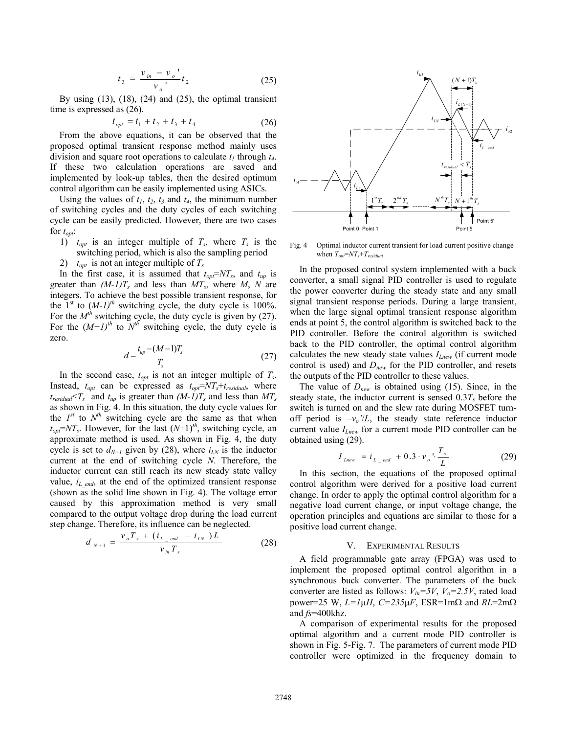$$
t_3 = \frac{v_{in} - v_o}{v_o} t_2
$$
 (25)

By using  $(13)$ ,  $(18)$ ,  $(24)$  and  $(25)$ , the optimal transient time is expressed as (26).

$$
t_{opt} = t_1 + t_2 + t_3 + t_4 \tag{26}
$$

From the above equations, it can be observed that the proposed optimal transient response method mainly uses division and square root operations to calculate  $t_1$  through  $t_4$ . If these two calculation operations are saved and implemented by look-up tables, then the desired optimum control algorithm can be easily implemented using ASICs.

Using the values of  $t_1$ ,  $t_2$ ,  $t_3$  and  $t_4$ , the minimum number of switching cycles and the duty cycles of each switching cycle can be easily predicted. However, there are two cases for *topt*:

- 1)  $t_{opt}$  is an integer multiple of  $T_s$ , where  $T_s$  is the switching period, which is also the sampling period
- 2)  $t_{opt}$  is not an integer multiple of  $T_s$

In the first case, it is assumed that  $t_{opt} = NT_s$ , and  $t_{up}$  is greater than  $(M-1)T_s$  and less than  $MT_s$ , where  $M$ ,  $N$  are integers. To achieve the best possible transient response, for the 1<sup>st</sup> to  $(M-1)^{th}$  switching cycle, the duty cycle is 100%. For the  $M<sup>th</sup>$  switching cycle, the duty cycle is given by (27). For the  $(M+1)^{th}$  to  $N^{th}$  switching cycle, the duty cycle is zero.

$$
d = \frac{t_{up} - (M-1)T_s}{T_s} \tag{27}
$$

In the second case, *topt* is not an integer multiple of *Ts*. Instead,  $t_{opt}$  can be expressed as  $t_{opt} = NT_s + t_{residual}$ , where  $t_{residual} < T_s$  and  $t_{up}$  is greater than  $(M-1)T_s$  and less than  $MT_s$ as shown in Fig. 4. In this situation, the duty cycle values for the  $I^{st}$  to  $N^{th}$  switching cycle are the same as that when  $t_{opt}$ =*NT<sub>s</sub>*. However, for the last  $(N+1)^{th}$ , switching cycle, an approximate method is used. As shown in Fig. 4, the duty cycle is set to  $d_{N+1}$  given by (28), where  $i_{LN}$  is the inductor current at the end of switching cycle *N*. Therefore, the inductor current can still reach its new steady state valley value,  $i_l$ <sub>end</sub>, at the end of the optimized transient response (shown as the solid line shown in Fig. 4). The voltage error caused by this approximation method is very small compared to the output voltage drop during the load current step change. Therefore, its influence can be neglected.

$$
d_{N+1} = \frac{v_o T_s + (i_{L\_end} - i_{LN})L}{v_{in} T_s}
$$
 (28)



Fig. 4 Optimal inductor current transient for load current positive change when *Topt*=*NTs*+*Tresidual*

In the proposed control system implemented with a buck converter, a small signal PID controller is used to regulate the power converter during the steady state and any small signal transient response periods. During a large transient, when the large signal optimal transient response algorithm ends at point 5, the control algorithm is switched back to the PID controller. Before the control algorithm is switched back to the PID controller, the optimal control algorithm calculates the new steady state values *ILnew* (if current mode control is used) and *Dnew* for the PID controller, and resets the outputs of the PID controller to these values.

The value of  $D_{new}$  is obtained using (15). Since, in the steady state, the inductor current is sensed  $0.3T_s$  before the switch is turned on and the slew rate during MOSFET turnoff period is  $-v_0'/L$ , the steady state reference inductor current value *ILnew* for a current mode PID controller can be obtained using (29).

$$
I_{\text{Lnew}} = i_{L_{\text{end}}} + 0.3 \cdot v_{o} \cdot \frac{T_{s}}{L}
$$
 (29)

In this section, the equations of the proposed optimal control algorithm were derived for a positive load current change. In order to apply the optimal control algorithm for a negative load current change, or input voltage change, the operation principles and equations are similar to those for a positive load current change.

#### V. EXPERIMENTAL RESULTS

A field programmable gate array (FPGA) was used to implement the proposed optimal control algorithm in a synchronous buck converter. The parameters of the buck converter are listed as follows:  $V_{in} = 5V$ ,  $V_o = 2.5V$ , rated load power=25 W,  $L=1 \mu H$ ,  $C=235 \mu F$ , ESR=1m $\Omega$  and  $RL=2m\Omega$ and *fs*=400khz.

A comparison of experimental results for the proposed optimal algorithm and a current mode PID controller is shown in Fig. 5-Fig. 7. The parameters of current mode PID controller were optimized in the frequency domain to